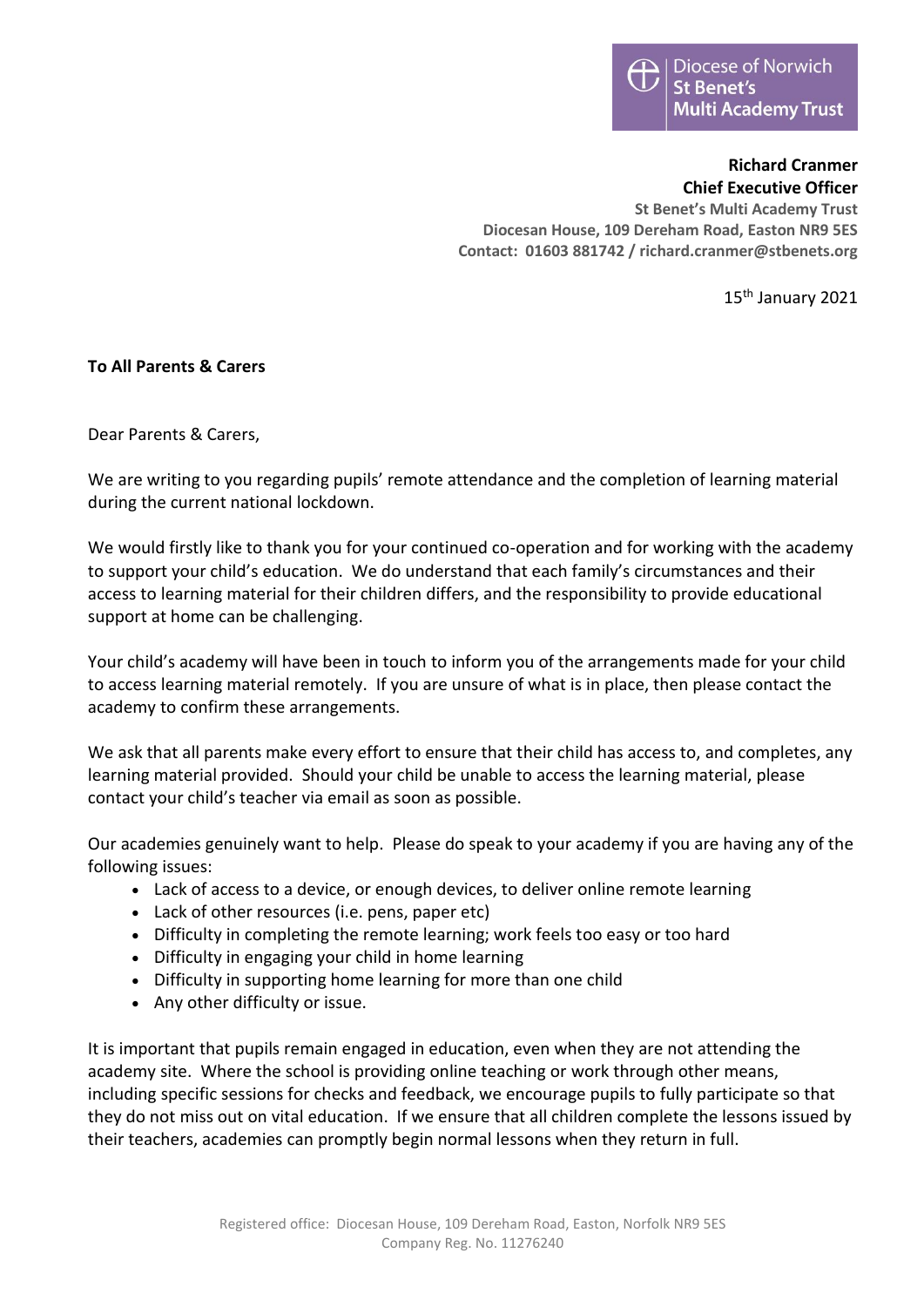## **Richard Cranmer Chief Executive Officer**

**St Benet's Multi Academy Trust Diocesan House, 109 Dereham Road, Easton NR9 5ES Contact: 01603 881742 / richard.cranmer@stbenets.org**

15th January 2021

## **To All Parents & Carers**

Dear Parents & Carers,

We are writing to you regarding pupils' remote attendance and the completion of learning material during the current national lockdown.

We would firstly like to thank you for your continued co-operation and for working with the academy to support your child's education. We do understand that each family's circumstances and their access to learning material for their children differs, and the responsibility to provide educational support at home can be challenging.

Your child's academy will have been in touch to inform you of the arrangements made for your child to access learning material remotely. If you are unsure of what is in place, then please contact the academy to confirm these arrangements.

We ask that all parents make every effort to ensure that their child has access to, and completes, any learning material provided. Should your child be unable to access the learning material, please contact your child's teacher via email as soon as possible.

Our academies genuinely want to help. Please do speak to your academy if you are having any of the following issues:

- Lack of access to a device, or enough devices, to deliver online remote learning
- Lack of other resources (i.e. pens, paper etc)
- Difficulty in completing the remote learning; work feels too easy or too hard
- Difficulty in engaging your child in home learning
- Difficulty in supporting home learning for more than one child
- Any other difficulty or issue.

It is important that pupils remain engaged in education, even when they are not attending the academy site. Where the school is providing online teaching or work through other means, including specific sessions for checks and feedback, we encourage pupils to fully participate so that they do not miss out on vital education. If we ensure that all children complete the lessons issued by their teachers, academies can promptly begin normal lessons when they return in full.